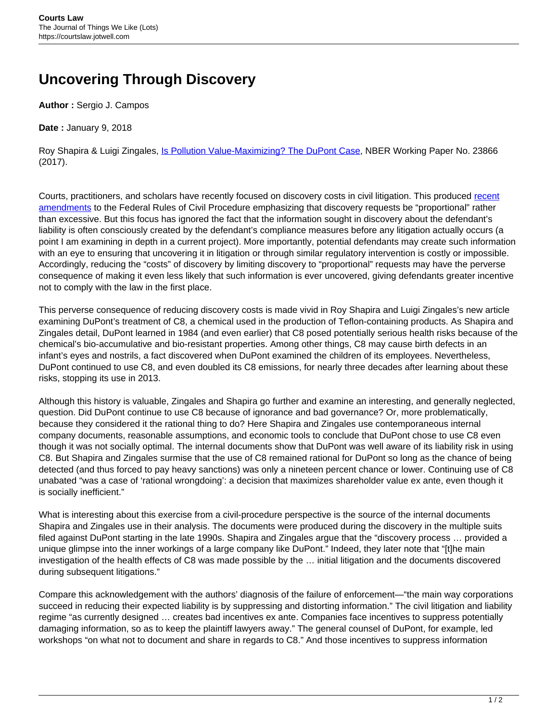## **Uncovering Through Discovery**

**Author :** Sergio J. Campos

**Date :** January 9, 2018

Roy Shapira & Luigi Zingales, *[Is Pollution Value-Maximizing? The DuPont Case](http://www.nber.org/papers/w23866)*, NBER Working Paper No. 23866 (2017).

Courts, practitioners, and scholars have [recent](https://www.americanbar.org/publications/blt/2016/02/07_marinelli.html)ly focused on discovery costs in civil litigation. This produced recent [amendments](https://www.americanbar.org/publications/blt/2016/02/07_marinelli.html) to the Federal Rules of Civil Procedure emphasizing that discovery requests be "proportional" rather than excessive. But this focus has ignored the fact that the information sought in discovery about the defendant's liability is often consciously created by the defendant's compliance measures before any litigation actually occurs (a point I am examining in depth in a current project). More importantly, potential defendants may create such information with an eye to ensuring that uncovering it in litigation or through similar regulatory intervention is costly or impossible. Accordingly, reducing the "costs" of discovery by limiting discovery to "proportional" requests may have the perverse consequence of making it even less likely that such information is ever uncovered, giving defendants greater incentive not to comply with the law in the first place.

This perverse consequence of reducing discovery costs is made vivid in Roy Shapira and Luigi Zingales's new article examining DuPont's treatment of C8, a chemical used in the production of Teflon-containing products. As Shapira and Zingales detail, DuPont learned in 1984 (and even earlier) that C8 posed potentially serious health risks because of the chemical's bio-accumulative and bio-resistant properties. Among other things, C8 may cause birth defects in an infant's eyes and nostrils, a fact discovered when DuPont examined the children of its employees. Nevertheless, DuPont continued to use C8, and even doubled its C8 emissions, for nearly three decades after learning about these risks, stopping its use in 2013.

Although this history is valuable, Zingales and Shapira go further and examine an interesting, and generally neglected, question. Did DuPont continue to use C8 because of ignorance and bad governance? Or, more problematically, because they considered it the rational thing to do? Here Shapira and Zingales use contemporaneous internal company documents, reasonable assumptions, and economic tools to conclude that DuPont chose to use C8 even though it was not socially optimal. The internal documents show that DuPont was well aware of its liability risk in using C8. But Shapira and Zingales surmise that the use of C8 remained rational for DuPont so long as the chance of being detected (and thus forced to pay heavy sanctions) was only a nineteen percent chance or lower. Continuing use of C8 unabated "was a case of 'rational wrongdoing': a decision that maximizes shareholder value ex ante, even though it is socially inefficient."

What is interesting about this exercise from a civil-procedure perspective is the source of the internal documents Shapira and Zingales use in their analysis. The documents were produced during the discovery in the multiple suits filed against DuPont starting in the late 1990s. Shapira and Zingales argue that the "discovery process … provided a unique glimpse into the inner workings of a large company like DuPont." Indeed, they later note that "[t]he main investigation of the health effects of C8 was made possible by the … initial litigation and the documents discovered during subsequent litigations."

Compare this acknowledgement with the authors' diagnosis of the failure of enforcement—"the main way corporations succeed in reducing their expected liability is by suppressing and distorting information." The civil litigation and liability regime "as currently designed ... creates bad incentives ex ante. Companies face incentives to suppress potentially damaging information, so as to keep the plaintiff lawyers away." The general counsel of DuPont, for example, led workshops "on what not to document and share in regards to C8." And those incentives to suppress information